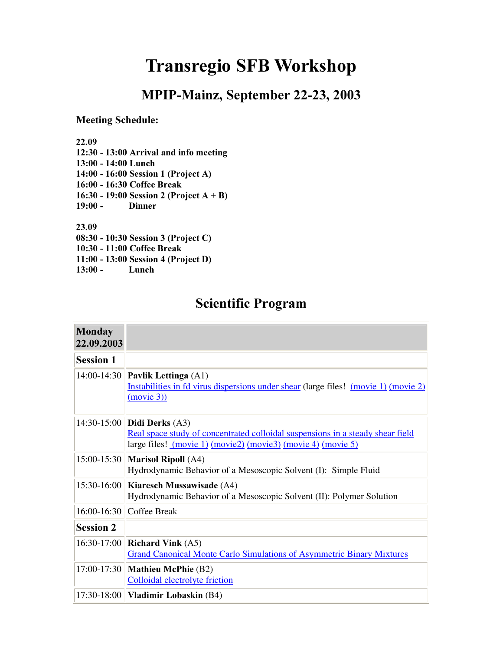# Transregio SFB Workshop

## MPIP-Mainz, September 22-23, 2003

#### Meeting Schedule:

22.09

12:30 - 13:00 Arrival and info meeting

13:00 - 14:00 Lunch  $14:00 - 16:00$  Session 1 (Project A) 16:00 - 16:30 Coffee Break

16:30 - 19:00 Session 2 (Project  $A + B$ )  $19:00 -$  Dinner

23.09

 $08:30 - 10:30$  Session 3 (Project C)

10:30 - 11:00 Coffee Break

 $11:00 - 13:00$  Session 4 (Project D)

13:00 - Lunch

## Scientific Program

| <b>Monday</b><br>22.09.2003 |                                                                                                                                                                                 |
|-----------------------------|---------------------------------------------------------------------------------------------------------------------------------------------------------------------------------|
| <b>Session 1</b>            |                                                                                                                                                                                 |
|                             | 14:00-14:30 <b>Pavlik Lettinga</b> (A1)<br>Instabilities in fd virus dispersions under shear (large files! (movie 1) (movie 2)<br>(movie 3)                                     |
|                             | 14:30-15:00 Didi Derks (A3)<br>Real space study of concentrated colloidal suspensions in a steady shear field<br>large files! (movie 1) (movie 2) (movie 3) (movie 4) (movie 5) |
|                             | 15:00-15:30   Marisol Ripoll (A4)<br>Hydrodynamic Behavior of a Mesoscopic Solvent (I): Simple Fluid                                                                            |
|                             | 15:30-16:00 Kiaresch Mussawisade (A4)<br>Hydrodynamic Behavior of a Mesoscopic Solvent (II): Polymer Solution                                                                   |
|                             | 16:00-16:30 Coffee Break                                                                                                                                                        |
| <b>Session 2</b>            |                                                                                                                                                                                 |
|                             | 16:30-17:00 Richard Vink (A5)<br><b>Grand Canonical Monte Carlo Simulations of Asymmetric Binary Mixtures</b>                                                                   |
|                             | 17:00-17:30 Mathieu McPhie (B2)<br>Colloidal electrolyte friction                                                                                                               |
|                             | 17:30-18:00   <b>Vladimir Lobaskin</b> (B4)                                                                                                                                     |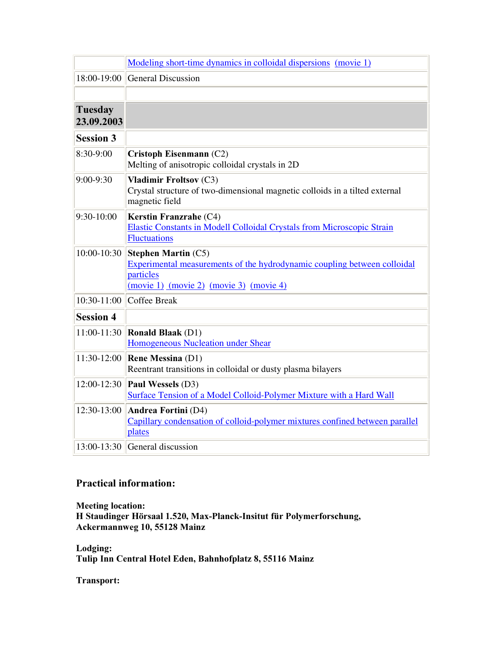|                              | Modeling short-time dynamics in colloidal dispersions (movie 1)                                                                                                        |  |  |  |  |
|------------------------------|------------------------------------------------------------------------------------------------------------------------------------------------------------------------|--|--|--|--|
| 18:00-19:00                  | <b>General Discussion</b>                                                                                                                                              |  |  |  |  |
|                              |                                                                                                                                                                        |  |  |  |  |
| <b>Tuesday</b><br>23.09.2003 |                                                                                                                                                                        |  |  |  |  |
| <b>Session 3</b>             |                                                                                                                                                                        |  |  |  |  |
| 8:30-9:00                    | Cristoph Eisenmann (C2)<br>Melting of anisotropic colloidal crystals in 2D                                                                                             |  |  |  |  |
| 9:00-9:30                    | <b>Vladimir Froltsov (C3)</b><br>Crystal structure of two-dimensional magnetic colloids in a tilted external<br>magnetic field                                         |  |  |  |  |
| $9:30-10:00$                 | Kerstin Franzrahe (C4)<br>Elastic Constants in Modell Colloidal Crystals from Microscopic Strain<br><b>Fluctuations</b>                                                |  |  |  |  |
| 10:00-10:30                  | <b>Stephen Martin (C5)</b><br>Experimental measurements of the hydrodynamic coupling between colloidal<br>particles<br>$(movie 1)$ $(movie 2)$ $(movie 3)$ $(movie 4)$ |  |  |  |  |
| $10:30-11:00$                | <b>Coffee Break</b>                                                                                                                                                    |  |  |  |  |
| <b>Session 4</b>             |                                                                                                                                                                        |  |  |  |  |
| 11:00-11:30                  | <b>Ronald Blaak</b> (D1)<br>Homogeneous Nucleation under Shear                                                                                                         |  |  |  |  |
| 11:30-12:00                  | <b>Rene Messina (D1)</b><br>Reentrant transitions in colloidal or dusty plasma bilayers                                                                                |  |  |  |  |
| 12:00-12:30                  | Paul Wessels (D3)<br>Surface Tension of a Model Colloid-Polymer Mixture with a Hard Wall                                                                               |  |  |  |  |
| 12:30-13:00                  | Andrea Fortini (D4)<br>Capillary condensation of colloid-polymer mixtures confined between parallel<br>plates                                                          |  |  |  |  |
|                              | $13:00-13:30$ General discussion                                                                                                                                       |  |  |  |  |

#### Practical information:

Meeting location: H Staudinger Hörsaal 1.520, Max-Planck-Insitut für Polymerforschung, Ackermannweg 10, 55128 Mainz

Lodging: Tulip Inn Central Hotel Eden, Bahnhofplatz 8, 55116 Mainz

Transport: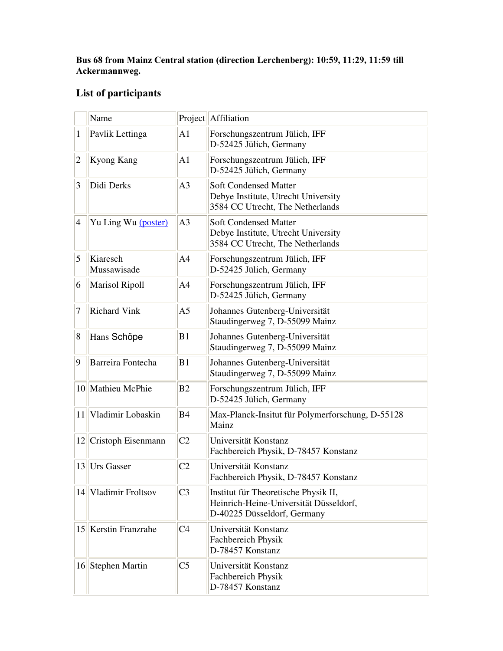#### Bus 68 from Mainz Central station (direction Lerchenberg): 10:59, 11:29, 11:59 till Ackermannweg.

## List of participants

|                | Name                    |                | Project Affiliation                                                                                           |
|----------------|-------------------------|----------------|---------------------------------------------------------------------------------------------------------------|
| 1              | Pavlik Lettinga         | A1             | Forschungszentrum Jülich, IFF<br>D-52425 Jülich, Germany                                                      |
| $\overline{2}$ | Kyong Kang              | A <sub>1</sub> | Forschungszentrum Jülich, IFF<br>D-52425 Jülich, Germany                                                      |
| 3              | Didi Derks              | A <sub>3</sub> | <b>Soft Condensed Matter</b><br>Debye Institute, Utrecht University<br>3584 CC Utrecht, The Netherlands       |
| $\overline{4}$ | Yu Ling Wu (poster)     | A <sub>3</sub> | <b>Soft Condensed Matter</b><br>Debye Institute, Utrecht University<br>3584 CC Utrecht, The Netherlands       |
| 5              | Kiaresch<br>Mussawisade | A <sub>4</sub> | Forschungszentrum Jülich, IFF<br>D-52425 Jülich, Germany                                                      |
| 6              | <b>Marisol Ripoll</b>   | A <sub>4</sub> | Forschungszentrum Jülich, IFF<br>D-52425 Jülich, Germany                                                      |
| 7              | <b>Richard Vink</b>     | A <sub>5</sub> | Johannes Gutenberg-Universität<br>Staudingerweg 7, D-55099 Mainz                                              |
| 8              | Hans Schöpe             | B1             | Johannes Gutenberg-Universität<br>Staudingerweg 7, D-55099 Mainz                                              |
| 9              | Barreira Fontecha       | B1             | Johannes Gutenberg-Universität<br>Staudingerweg 7, D-55099 Mainz                                              |
|                | 10 Mathieu McPhie       | B <sub>2</sub> | Forschungszentrum Jülich, IFF<br>D-52425 Jülich, Germany                                                      |
|                | 11 Vladimir Lobaskin    | <b>B4</b>      | Max-Planck-Insitut für Polymerforschung, D-55128<br>Mainz                                                     |
|                | $12$ Cristoph Eisenmann | C <sub>2</sub> | Universität Konstanz<br>Fachbereich Physik, D-78457 Konstanz                                                  |
| 13             | <b>Urs Gasser</b>       | C <sub>2</sub> | Universität Konstanz<br>Fachbereich Physik, D-78457 Konstanz                                                  |
|                | 14 Vladimir Froltsov    | C <sub>3</sub> | Institut für Theoretische Physik II,<br>Heinrich-Heine-Universität Düsseldorf,<br>D-40225 Düsseldorf, Germany |
|                | 15 Kerstin Franzrahe    | C <sub>4</sub> | Universität Konstanz<br>Fachbereich Physik<br>D-78457 Konstanz                                                |
|                | 16 Stephen Martin       | C <sub>5</sub> | Universität Konstanz<br>Fachbereich Physik<br>D-78457 Konstanz                                                |